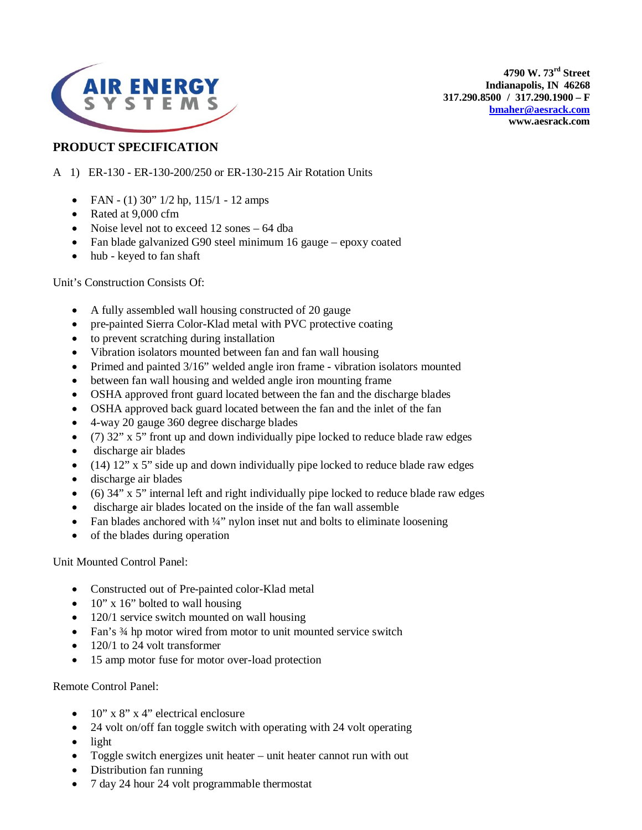

**4790 W. 73rd Street Indianapolis, IN 46268 317.290.8500 / 317.290.1900 – F [bmaher@aesrack.com](mailto:bmaher@aesrack.com) www.aesrack.com**

## **PRODUCT SPECIFICATION**

- A 1) ER-130 ER-130-200/250 or ER-130-215 Air Rotation Units
	- FAN (1) 30"  $1/2$  hp,  $115/1$  12 amps
	- Rated at 9,000 cfm
	- Noise level not to exceed 12 sones 64 dba
	- Fan blade galvanized G90 steel minimum 16 gauge epoxy coated
	- hub keyed to fan shaft

Unit's Construction Consists Of:

- A fully assembled wall housing constructed of 20 gauge
- pre-painted Sierra Color-Klad metal with PVC protective coating
- to prevent scratching during installation
- Vibration isolators mounted between fan and fan wall housing
- Primed and painted 3/16" welded angle iron frame vibration isolators mounted
- between fan wall housing and welded angle iron mounting frame
- OSHA approved front guard located between the fan and the discharge blades
- OSHA approved back guard located between the fan and the inlet of the fan
- 4-way 20 gauge 360 degree discharge blades
- (7) 32" x 5" front up and down individually pipe locked to reduce blade raw edges
- discharge air blades
- (14) 12" x 5" side up and down individually pipe locked to reduce blade raw edges
- discharge air blades
- (6) 34" x 5" internal left and right individually pipe locked to reduce blade raw edges
- discharge air blades located on the inside of the fan wall assemble
- Fan blades anchored with  $\frac{1}{4}$ " nylon inset nut and bolts to eliminate loosening
- of the blades during operation

Unit Mounted Control Panel:

- Constructed out of Pre-painted color-Klad metal
- $10''$  x 16" bolted to wall housing
- 120/1 service switch mounted on wall housing
- Fan's 3/4 hp motor wired from motor to unit mounted service switch
- 120/1 to 24 volt transformer
- 15 amp motor fuse for motor over-load protection

Remote Control Panel:

- $10''$  x 8" x 4" electrical enclosure
- 24 volt on/off fan toggle switch with operating with 24 volt operating
- light
- Toggle switch energizes unit heater unit heater cannot run with out
- Distribution fan running
- 7 day 24 hour 24 volt programmable thermostat